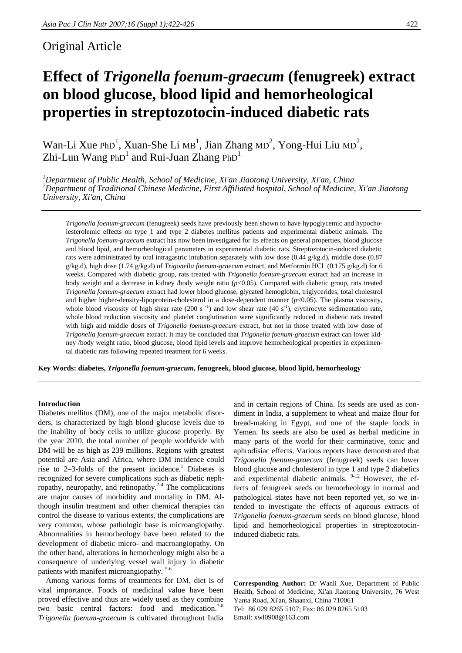# Original Article

# **Effect of** *Trigonella foenum-graecum* **(fenugreek) extract on blood glucose, blood lipid and hemorheological properties in streptozotocin-induced diabetic rats**

Wan-Li Xue PhD<sup>1</sup>, Xuan-She Li MB<sup>1</sup>, Jian Zhang MD<sup>2</sup>, Yong-Hui Liu MD<sup>2</sup>, Zhi-Lun Wang PhD<sup>1</sup> and Rui-Juan Zhang PhD<sup>1</sup>

*1 Department of Public Health, School of Medicine, Xi'an Jiaotong University, Xi'an, China 2 Department of Traditional Chinese Medicine, First Affiliated hospital, School of Medicine, Xi'an Jiaotong University, Xi'an, China* 

*Trigonella foenum-graecum* (fenugreek) seeds have previously been shown to have hypoglycemic and hypocholesterolemic effects on type 1 and type 2 diabetes mellitus patients and experimental diabetic animals. The *Trigonella foenum-graecum* extract has now been investigated for its effects on general properties, blood glucose and blood lipid, and hemorheological parameters in experimental diabetic rats. Streptozotocin-induced diabetic rats were administrated by oral intragastric intubation separately with low dose (0.44 g/kg.d), middle dose (0.87 g/kg.d), high dose (1.74 g/kg.d) of *Trigonella foenum-graecum* extract, and Metformin HCl (0.175 g/kg.d) for 6 weeks. Compared with diabetic group, rats treated with *Trigonella foenum-graecum* extract had an increase in body weight and a decrease in kidney /body weight ratio (*p*<0.05). Compared with diabetic group, rats treated *Trigonella foenum-graecum* extract had lower blood glucose, glycated hemoglobin, triglycerides, total cholestrol and higher higher-density-lipoprotein-cholesterol in a dose-dependent manner (*p*<0.05). The plasma viscosity, whole blood viscosity of high shear rate (200 s<sup>-1</sup>) and low shear rate (40 s<sup>-1</sup>), erythrocyte sedimentation rate, whole blood reduction viscosity and platelet conglutination were significantly reduced in diabetic rats treated with high and middle doses of *Trigonella foenum-graecum* extract, but not in those treated with low dose of *Trigonella foenum-graecum* extract. It may be concluded that *Trigonella foenum-graecum* extract can lower kidney /body weight ratio, blood glucose, blood lipid levels and improve hemorheological properties in experimental diabetic rats following repeated treatment for 6 weeks.

**Key Words: diabetes,** *Trigonella foenum-graecum***, fenugreek, blood glucose, blood lipid, hemorheology** 

# **Introduction**

Diabetes mellitus (DM), one of the major metabolic disorders, is characterized by high blood glucose levels due to the inability of body cells to utilize glucose properly. By the year 2010, the total number of people worldwide with DM will be as high as 239 millions. Regions with greatest potential are Asia and Africa, where DM incidence could rise to  $2-3$ -folds of the present incidence.<sup>1</sup> Diabetes is recognized for severe complications such as diabetic nephropathy, neuropathy, and retinopathy. $2-4$  The complications are major causes of morbidity and mortality in DM. Although insulin treatment and other chemical therapies can control the disease to various extents, the complications are very common, whose pathologic base is microangiopathy. Abnormalities in hemorheology have been related to the development of diabetic micro- and macroangiopathy. On the other hand, alterations in hemorheology might also be a consequence of underlying vessel wall injury in diabetic patients with manifest microangiopathy. 5-6

Among various forms of treatments for DM, diet is of vital importance. Foods of medicinal value have been proved effective and thus are widely used as they combine two basic central factors: food and medication.<sup>7-8</sup> *Trigonella foenum-graecum* is cultivated throughout India

and in certain regions of China. Its seeds are used as condiment in India, a supplement to wheat and maize flour for bread-making in Egypt, and one of the staple foods in Yemen. Its seeds are also be used as herbal medicine in many parts of the world for their carminative, tonic and aphrodisiac effects. Various reports have demonstrated that *Trigonella foenum-graecum* (fenugreek) seeds can lower blood glucose and cholesterol in type 1 and type 2 diabetics and experimental diabetic animals. <sup>9-12</sup> However, the effects of fenugreek seeds on hemorheology in normal and pathological states have not been reported yet, so we intended to investigate the effects of aqueous extracts of *Trigonella foenum-graecum* seeds on blood glucose, blood lipid and hemorheological properties in streptozotocininduced diabetic rats.

**Corresponding Author:** Dr Wanli Xue, Department of Public Health, School of Medicine, Xi'an Jiaotong University, 76 West Yanta Road, Xi'an, Shaanxi, China 710061 Tel: 86 029 8265 5107; Fax: 86 029 8265 5103 Email: xwl0908@163.com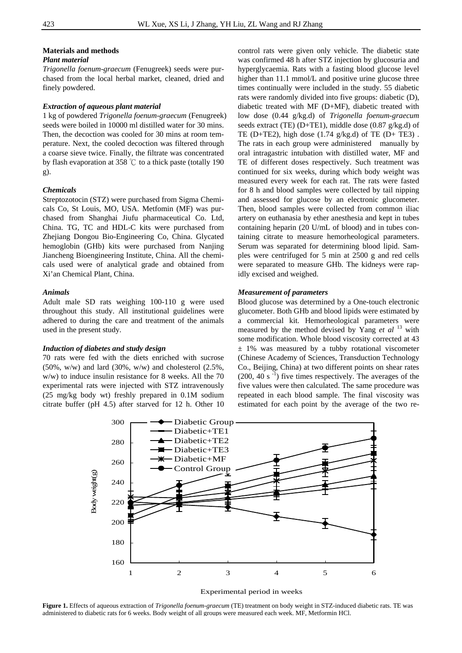#### **Materials and methods**

# *Plant material*

*Trigonella foenum-graecum* (Fenugreek) seeds were purchased from the local herbal market, cleaned, dried and finely powdered.

#### *Extraction of aqueous plant material*

1 kg of powdered *Trigonella foenum-graecum* (Fenugreek) seeds were boiled in 10000 ml distilled water for 30 mins. Then, the decoction was cooled for 30 mins at room temperature. Next, the cooled decoction was filtered through a coarse sieve twice. Finally, the filtrate was concentrated by flash evaporation at 358 ℃ to a thick paste (totally 190 g).

## *Chemicals*

Streptozotocin (STZ) were purchased from Sigma Chemicals Co, St Louis, MO, USA. Metfomin (MF) was purchased from Shanghai Jiufu pharmaceutical Co. Ltd, China. TG, TC and HDL-C kits were purchased from Zhejiang Dongou Bio-Engineering Co, China. Glycated hemoglobin (GHb) kits were purchased from Nanjing Jiancheng Bioengineering Institute, China. All the chemicals used were of analytical grade and obtained from Xi'an Chemical Plant, China.

#### *Animals*

Adult male SD rats weighing 100-110 g were used throughout this study. All institutional guidelines were adhered to during the care and treatment of the animals used in the present study.

#### *Induction of diabetes and study design*

70 rats were fed with the diets enriched with sucrose  $(50\%, w/w)$  and lard  $(30\%, w/w)$  and cholesterol  $(2.5\%,$ w/w) to induce insulin resistance for 8 weeks. All the 70 experimental rats were injected with STZ intravenously (25 mg/kg body wt) freshly prepared in 0.1M sodium citrate buffer (pH 4.5) after starved for 12 h. Other 10

control rats were given only vehicle. The diabetic state was confirmed 48 h after STZ injection by glucosuria and hyperglycaemia. Rats with a fasting blood glucose level higher than 11.1 mmol/L and positive urine glucose three times continually were included in the study. 55 diabetic rats were randomly divided into five groups: diabetic (D), diabetic treated with MF (D+MF), diabetic treated with low dose (0.44 g/kg.d) of *Trigonella foenum-graecum* seeds extract (TE) (D+TE1), middle dose (0.87 g/kg.d) of TE (D+TE2), high dose  $(1.74 \text{ g/kg}.d)$  of TE (D+ TE3). The rats in each group were administered manually by oral intragastric intubation with distilled water, MF and TE of different doses respectively. Such treatment was continued for six weeks, during which body weight was measured every week for each rat. The rats were fasted for 8 h and blood samples were collected by tail nipping and assessed for glucose by an electronic glucometer. Then, blood samples were collected from common iliac artery on euthanasia by ether anesthesia and kept in tubes containing heparin (20 U/mL of blood) and in tubes containing citrate to measure hemorheological parameters. Serum was separated for determining blood lipid. Samples were centrifuged for 5 min at 2500 g and red cells were separated to measure GHb. The kidneys were rapidly excised and weighed.

#### *Measurement of parameters*

Blood glucose was determined by a One-touch electronic glucometer. Both GHb and blood lipids were estimated by a commercial kit. Hemorheological parameters were measured by the method devised by Yang *et al* 13 with some modification. Whole blood viscosity corrected at 43  $±$  1% was measured by a tubby rotational viscometer (Chinese Academy of Sciences, Transduction Technology Co., Beijing, China) at two different points on shear rates  $(200, 40 \text{ s}^{-1})$  five times respectively. The averages of the five values were then calculated. The same procedure was repeated in each blood sample. The final viscosity was estimated for each point by the average of the two re-



Experimental period in weeks

**Figure 1.** Effects of aqueous extraction of *Trigonella foenum-graecum* (TE) treatment on body weight in STZ-induced diabetic rats. TE was administered to diabetic rats for 6 weeks. Body weight of all groups were measured each week. MF, Metformin HCl.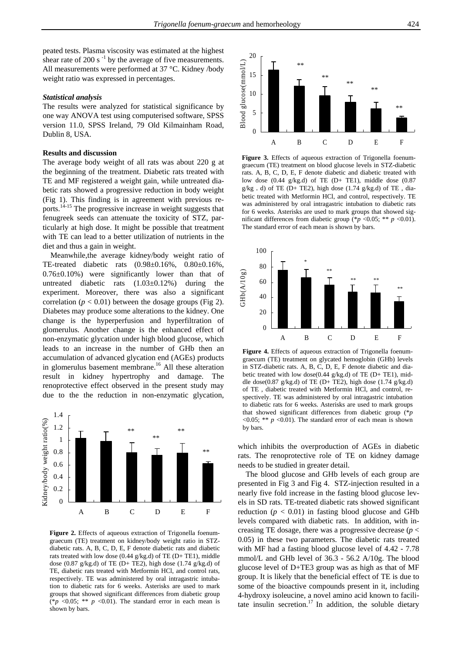peated tests. Plasma viscosity was estimated at the highest shear rate of 200 s $^{-1}$  by the average of five measurements. All measurements were performed at 37 °C. Kidney /body weight ratio was expressed in percentages.

## *Statistical analysis*

The results were analyzed for statistical significance by one way ANOVA test using computerised software, SPSS version 11.0, SPSS Ireland, 79 Old Kilmainham Road, Dublin 8, USA.

#### **Results and discussion**

The average body weight of all rats was about 220 g at the beginning of the treatment. Diabetic rats treated with TE and MF registered a weight gain, while untreated diabetic rats showed a progressive reduction in body weight (Fig 1). This finding is in agreement with previous reports.14-15 The progressive increase in weight suggests that fenugreek seeds can attenuate the toxicity of STZ, particularly at high dose. It might be possible that treatment with TE can lead to a better utilization of nutrients in the diet and thus a gain in weight.

Meanwhile,the average kidney/body weight ratio of TE-treated diabetic rats (0.98±0.16%, 0.80±0.16%, 0.76±0.10%) were significantly lower than that of untreated diabetic rats (1.03±0.12%) during the experiment. Moreover, there was also a significant correlation ( $p < 0.01$ ) between the dosage groups (Fig 2). Diabetes may produce some alterations to the kidney. One change is the hyperperfusion and hyperfiltration of glomerulus. Another change is the enhanced effect of non-enzymatic glycation under high blood glucose, which leads to an increase in the number of GHb then an accumulation of advanced glycation end (AGEs) products in glomerulus basement membrane.<sup>16</sup> All these alteration result in kidney hypertrophy and damage. The renoprotective effect observed in the present study may due to the the reduction in non-enzymatic glycation,



Figure 2. Effects of aqueous extraction of Trigonella foenumgraecum (TE) treatment on kidney/body weight ratio in STZdiabetic rats. A, B, C, D, E, F denote diabetic rats and diabetic rats treated with low dose (0.44 g/kg.d) of TE (D+ TE1), middle dose (0.87 g/kg.d) of TE (D+ TE2), high dose (1.74 g/kg.d) of TE, diabetic rats treated with Metformin HCl, and control rats, respectively. TE was administered by oral intragastric intubation to diabetic rats for 6 weeks. Asterisks are used to mark groups that showed significant differences from diabetic group (\* $p \le 0.05$ ; \*\*  $p \le 0.01$ ). The standard error in each mean is shown by bars.



**Figure 3.** Effects of aqueous extraction of Trigonella foenumgraecum (TE) treatment on blood glucose levels in STZ-diabetic rats. A, B, C, D, E, F denote diabetic and diabetic treated with low dose (0.44 g/kg.d) of TE (D+ TE1), middle dose (0.87  $g/kg$ . d) of TE (D+ TE2), high dose (1.74  $g/kg.d$ ) of TE, diabetic treated with Metformin HCl, and control, respectively. TE was administered by oral intragastric intubation to diabetic rats for 6 weeks. Asterisks are used to mark groups that showed significant differences from diabetic group (\* $p$  <0.05; \*\*  $p$  <0.01). The standard error of each mean is shown by bars.



**Figure 4.** Effects of aqueous extraction of Trigonella foenumgraecum (TE) treatment on glycated hemoglobin (GHb) levels in STZ-diabetic rats. A, B, C, D, E, F denote diabetic and diabetic treated with low dose(0.44 g/kg.d) of TE (D+ TE1), middle dose(0.87 g/kg.d) of TE (D+ TE2), high dose (1.74 g/kg.d) of TE , diabetic treated with Metformin HCl, and control, respectively. TE was administered by oral intragastric intubation to diabetic rats for 6 weeks. Asterisks are used to mark groups that showed significant differences from diabetic group (\**p*  $\leq 0.05$ ; \*\*  $p \leq 0.01$ ). The standard error of each mean is shown by bars.

which inhibits the overproduction of AGEs in diabetic rats. The renoprotective role of TE on kidney damage needs to be studied in greater detail.

The blood glucose and GHb levels of each group are presented in Fig 3 and Fig 4. STZ-injection resulted in a nearly five fold increase in the fasting blood glucose levels in SD rats. TE-treated diabetic rats showed significant reduction  $(p < 0.01)$  in fasting blood glucose and GHb levels compared with diabetic rats. In addition, with increasing TE dosage, there was a progressive decrease (*p* < 0.05) in these two parameters. The diabetic rats treated with MF had a fasting blood glucose level of 4.42 - 7.78 mmol/L and GHb level of 36.3 - 56.2 A/10g. The blood glucose level of D+TE3 group was as high as that of MF group. It is likely that the beneficial effect of TE is due to some of the bioactive compounds present in it, including 4-hydroxy isoleucine, a novel amino acid known to facilitate insulin secretion.<sup>17</sup> In addition, the soluble dietary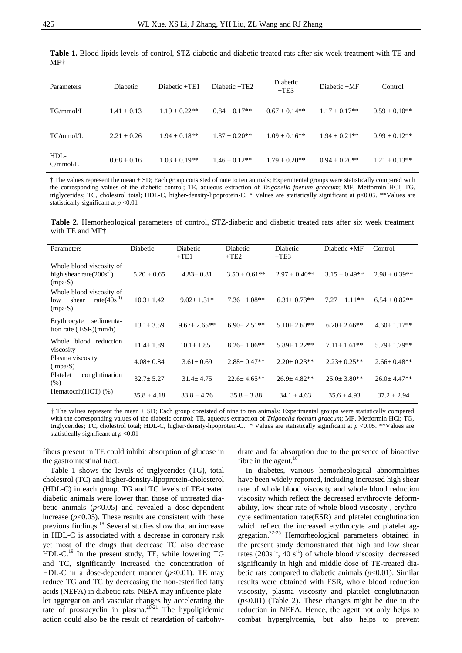| Parameters       | Diabetic        | $Diabetic + TE1$  | Diabetic +TE2     | Diabetic<br>$+TE3$ | Diabetic $+MF$    | Control         |
|------------------|-----------------|-------------------|-------------------|--------------------|-------------------|-----------------|
| TG/mmol/L        | $1.41 + 0.13$   | $1.19 \pm 0.22**$ | $0.84 \pm 0.17**$ | $0.67 + 0.14**$    | $1.17 + 0.17**$   | $0.59 + 0.10**$ |
| TC/mmol/L        | $2.21 + 0.26$   | $1.94 + 0.18**$   | $1.37 + 0.20**$   | $1.09 + 0.16**$    | $1.94 + 0.21**$   | $0.99 + 0.12**$ |
| HDL-<br>C/mmol/L | $0.68 \pm 0.16$ | $1.03 \pm 0.19**$ | $1.46 \pm 0.12**$ | $1.79 + 0.20**$    | $0.94 \pm 0.20**$ | $1.21 + 0.13**$ |

**Table 1.** Blood lipids levels of control, STZ-diabetic and diabetic treated rats after six week treatment with TE and MF†

† The values represent the mean ± SD; Each group consisted of nine to ten animals; Experimental groups were statistically compared with the corresponding values of the diabetic control; TE, aqueous extraction of *Trigonella foenum graecum*; MF, Metformin HCl; TG, triglycerides; TC, cholestrol total; HDL-C, higher-density-lipoprotein-C. \* Values are statistically significant at *p*<0.05. \*\*Values are statistically significant at *p* <0.01

**Table 2.** Hemorheological parameters of control, STZ-diabetic and diabetic treated rats after six week treatment with TE and MF†

| Parameters                                                                 | Diabetic        | Diabetic<br>$+TE1$ | Diabetic<br>$+TE2$ | Diabetic<br>$+TE3$ | Diabetic +MF       | Control           |
|----------------------------------------------------------------------------|-----------------|--------------------|--------------------|--------------------|--------------------|-------------------|
| Whole blood viscosity of<br>high shear rate $(200s^{-1})$<br>$(mpa-S)$     | $5.20 \pm 0.65$ | $4.83 \pm 0.81$    | $3.50 \pm 0.61$ ** | $2.97 \pm 0.40**$  | $3.15 \pm 0.49**$  | $2.98 \pm 0.39**$ |
| Whole blood viscosity of<br>rate $(40s^{-1})$<br>shear<br>low<br>$(mpa-S)$ | $10.3 \pm 1.42$ | $9.02 \pm 1.31*$   | $7.36 \pm 1.08**$  | $6.31 \pm 0.73**$  | $7.27 + 1.11**$    | $6.54 \pm 0.82**$ |
| Erythrocyte<br>sedimenta-<br>tion rate $(ESR)(mm/h)$                       | $13.1 \pm 3.59$ | $9.67 \pm 2.65$ ** | $6.90 \pm 2.51**$  | $5.10 \pm 2.60$ ** | $6.20 \pm 2.66$ ** | $4.60 \pm 1.17**$ |
| Whole blood reduction<br>viscosity                                         | $11.4 \pm 1.89$ | $10.1 + 1.85$      | $8.26 \pm 1.06**$  | $5.89 + 1.22**$    | $7.11 + 1.61**$    | $5.79 + 1.79**$   |
| Plasma viscosity<br>$(mpa-S)$                                              | $4.08 \pm 0.84$ | $3.61 \pm 0.69$    | $2.88 \pm 0.47**$  | $2.20+0.23**$      | $2.23+0.25**$      | $2.66 \pm 0.48**$ |
| Platelet<br>conglutination<br>(% )                                         | $32.7 \pm 5.27$ | $31.4 \pm 4.75$    | $22.6 \pm 4.65$ ** | $26.9 \pm 4.82**$  | $25.0 \pm 3.80**$  | $26.0 \pm 4.47**$ |
| Hematocrit(HCT) (%)                                                        | $35.8 \pm 4.18$ | $33.8 \pm 4.76$    | $35.8 \pm 3.88$    | $34.1 \pm 4.63$    | $35.6 \pm 4.93$    | $37.2 \pm 2.94$   |

† The values represent the mean ± SD; Each group consisted of nine to ten animals; Experimental groups were statistically compared with the corresponding values of the diabetic control; TE, aqueous extraction of *Trigonella foenum graecum*; MF, Metformin HCl; TG, triglycerides; TC, cholestrol total; HDL-C, higher-density-lipoprotein-C. \* Values are statistically significant at *p* <0.05. \*\*Values are statistically significant at *p* <0.01

fibers present in TE could inhibit absorption of glucose in the gastrointestinal tract.

Table 1 shows the levels of triglycerides (TG), total cholestrol (TC) and higher-density-lipoprotein-cholesterol (HDL-C) in each group. TG and TC levels of TE-treated diabetic animals were lower than those of untreated diabetic animals  $(p<0.05)$  and revealed a dose-dependent increase  $(p<0.05)$ . These results are consistent with these previous findings.18 Several studies show that an increase in HDL-C is associated with a decrease in coronary risk yet most of the drugs that decrease TC also decrease  $HDL-C<sup>19</sup>$  In the present study, TE, while lowering TG and TC, significantly increased the concentration of HDL-C in a dose-dependent manner  $(p<0.01)$ . TE may reduce TG and TC by decreasing the non-esterified fatty acids (NEFA) in diabetic rats. NEFA may influence platelet aggregation and vascular changes by accelerating the rate of prostacyclin in plasma.<sup>20-21</sup> The hypolipidemic action could also be the result of retardation of carbohydrate and fat absorption due to the presence of bioactive fibre in the agent. $18$ 

In diabetes, various hemorheological abnormalities have been widely reported, including increased high shear rate of whole blood viscosity and whole blood reduction viscosity which reflect the decreased erythrocyte deformability, low shear rate of whole blood viscosity , erythrocyte sedimentation rate(ESR) and platelet conglutination which reflect the increased erythrocyte and platelet aggregation. $22-25$  Hemorheological parameters obtained in the present study demonstrated that high and low shear rates  $(200s^{-1}, 40s^{-1})$  of whole blood viscosity decreased significantly in high and middle dose of TE-treated diabetic rats compared to diabetic animals  $(p<0.01)$ . Similar results were obtained with ESR, whole blood reduction viscosity, plasma viscosity and platelet conglutination  $(p<0.01)$  (Table 2). These changes might be due to the reduction in NEFA. Hence, the agent not only helps to combat hyperglycemia, but also helps to prevent